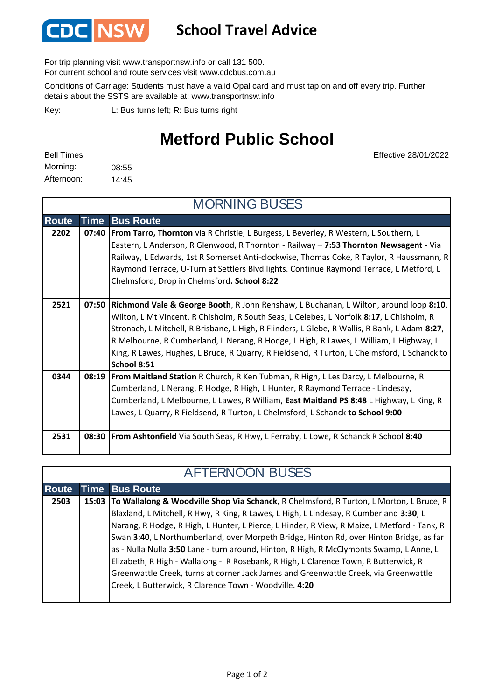

## **School Travel Advice**

For trip planning visit www.transportnsw.info or call 131 500.

For current school and route services visit www.cdcbus.com.au

Conditions of Carriage: Students must have a valid Opal card and must tap on and off every trip. Further details about the SSTS are available at: www.transportnsw.info

L: Bus turns left; R: Bus turns right Key:

## **Metford Public School**

| <b>Bell Times</b> |       |
|-------------------|-------|
| Morning:          | 08:55 |
| Afternoon:        | 14:45 |

Effective 28/01/2022

| <b>MORNING BUSES</b> |             |                                                                                               |  |  |
|----------------------|-------------|-----------------------------------------------------------------------------------------------|--|--|
| <b>Route</b>         | <b>Time</b> | <b>Bus Route</b>                                                                              |  |  |
| 2202                 |             | 07:40   From Tarro, Thornton via R Christie, L Burgess, L Beverley, R Western, L Southern, L  |  |  |
|                      |             | Eastern, L Anderson, R Glenwood, R Thornton - Railway - 7:53 Thornton Newsagent - Via         |  |  |
|                      |             | Railway, L Edwards, 1st R Somerset Anti-clockwise, Thomas Coke, R Taylor, R Haussmann, R      |  |  |
|                      |             | Raymond Terrace, U-Turn at Settlers Blvd lights. Continue Raymond Terrace, L Metford, L       |  |  |
|                      |             | Chelmsford, Drop in Chelmsford. School 8:22                                                   |  |  |
|                      |             |                                                                                               |  |  |
| 2521                 |             | 07:50 Richmond Vale & George Booth, R John Renshaw, L Buchanan, L Wilton, around loop 8:10,   |  |  |
|                      |             | Wilton, L Mt Vincent, R Chisholm, R South Seas, L Celebes, L Norfolk 8:17, L Chisholm, R      |  |  |
|                      |             | Stronach, L Mitchell, R Brisbane, L High, R Flinders, L Glebe, R Wallis, R Bank, L Adam 8:27, |  |  |
|                      |             | R Melbourne, R Cumberland, L Nerang, R Hodge, L High, R Lawes, L William, L Highway, L        |  |  |
|                      |             | King, R Lawes, Hughes, L Bruce, R Quarry, R Fieldsend, R Turton, L Chelmsford, L Schanck to   |  |  |
|                      |             | School 8:51                                                                                   |  |  |
| 0344                 |             | 08:19   From Maitland Station R Church, R Ken Tubman, R High, L Les Darcy, L Melbourne, R     |  |  |
|                      |             | Cumberland, L Nerang, R Hodge, R High, L Hunter, R Raymond Terrace - Lindesay,                |  |  |
|                      |             | Cumberland, L Melbourne, L Lawes, R William, East Maitland PS 8:48 L Highway, L King, R       |  |  |
|                      |             | Lawes, L Quarry, R Fieldsend, R Turton, L Chelmsford, L Schanck to School 9:00                |  |  |
|                      |             |                                                                                               |  |  |
| 2531                 |             | 08:30   From Ashtonfield Via South Seas, R Hwy, L Ferraby, L Lowe, R Schanck R School 8:40    |  |  |
|                      |             |                                                                                               |  |  |

| <b>AFTERNOON BUSES</b> |  |                                                                                               |  |  |
|------------------------|--|-----------------------------------------------------------------------------------------------|--|--|
| <b>Route</b>           |  | <b>Time Bus Route</b>                                                                         |  |  |
| 2503                   |  | 15:03 To Wallalong & Woodville Shop Via Schanck, R Chelmsford, R Turton, L Morton, L Bruce, R |  |  |
|                        |  | Blaxland, L Mitchell, R Hwy, R King, R Lawes, L High, L Lindesay, R Cumberland 3:30, L        |  |  |
|                        |  | Narang, R Hodge, R High, L Hunter, L Pierce, L Hinder, R View, R Maize, L Metford - Tank, R   |  |  |
|                        |  | Swan 3:40, L Northumberland, over Morpeth Bridge, Hinton Rd, over Hinton Bridge, as far       |  |  |
|                        |  | as - Nulla Nulla 3:50 Lane - turn around, Hinton, R High, R McClymonts Swamp, L Anne, L       |  |  |
|                        |  | Elizabeth, R High - Wallalong - R Rosebank, R High, L Clarence Town, R Butterwick, R          |  |  |
|                        |  | Greenwattle Creek, turns at corner Jack James and Greenwattle Creek, via Greenwattle          |  |  |
|                        |  | Creek, L Butterwick, R Clarence Town - Woodville. 4:20                                        |  |  |
|                        |  |                                                                                               |  |  |